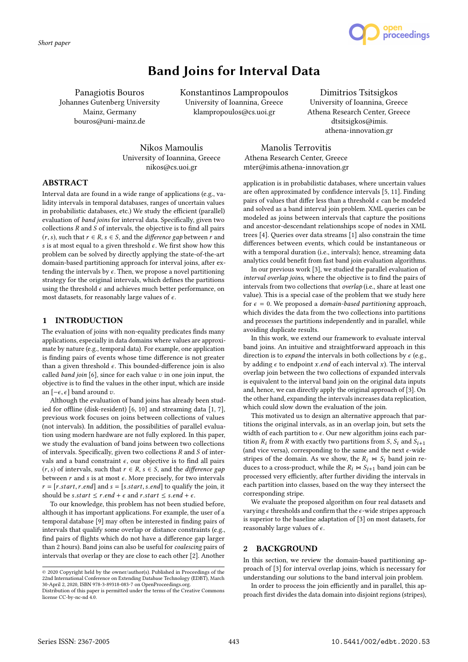*Short paper*



# Band Joins for Interval Data

Panagiotis Bouros Johannes Gutenberg University Mainz, Germany bouros@uni-mainz.de

Konstantinos Lampropoulos University of Ioannina, Greece klampropoulos@cs.uoi.gr

Dimitrios Tsitsigkos University of Ioannina, Greece Athena Research Center, Greece dtsitsigkos@imis. athena-innovation.gr

Nikos Mamoulis University of Ioannina, Greece nikos@cs.uoi.gr

Manolis Terrovitis Athena Research Center, Greece mter@imis.athena-innovation.gr

# ABSTRACT

Interval data are found in a wide range of applications (e.g., validity intervals in temporal databases, ranges of uncertain values in probabilistic databases, etc.) We study the efficient (parallel) evaluation of band joins for interval data. Specifically, given two collections  $R$  and  $S$  of intervals, the objective is to find all pairs  $(r, s)$ , such that  $r \in R$ ,  $s \in S$ , and the *difference gap* between r and s is at most equal to a given threshold  $\epsilon$ . We first show how this problem can be solved by directly applying the state-of-the-art domain-based partitioning approach for interval joins, after extending the intervals by  $\epsilon$ . Then, we propose a novel partitioning strategy for the original intervals, which defines the partitions using the threshold  $\epsilon$  and achieves much better performance, on most datasets, for reasonably large values of  $\epsilon$ .

# 1 INTRODUCTION

The evaluation of joins with non-equality predicates finds many applications, especially in data domains where values are approximate by nature (e.g., temporal data). For example, one application is finding pairs of events whose time difference is not greater than a given threshold  $\epsilon$ . This bounded-difference join is also called *band join* [6], since for each value  $v$  in one join input, the objective is to find the values in the other input, which are inside an  $[-\epsilon, \epsilon]$  band around v.

Although the evaluation of band joins has already been studied for offline (disk-resident) [6, 10] and streaming data [1, 7], previous work focuses on joins between collections of values (not intervals). In addition, the possibilities of parallel evaluation using modern hardware are not fully explored. In this paper, we study the evaluation of band joins between two collections of intervals. Specifically, given two collections  $R$  and  $S$  of intervals and a band constraint  $\epsilon$ , our objective is to find all pairs  $(r, s)$  of intervals, such that  $r \in R$ ,  $s \in S$ , and the *difference* gap between  $r$  and  $s$  is at most  $\epsilon$ . More precisely, for two intervals  $r = [r.start, r.end]$  and  $s = [s.start, s.end]$  to qualify the join, it should be *s*.*start*  $\le$  *r.end* +  $\epsilon$  and *r.start*  $\le$  *s.end* +  $\epsilon$ *.* 

To our knowledge, this problem has not been studied before, although it has important applications. For example, the user of a temporal database [9] may often be interested in finding pairs of intervals that qualify some overlap or distance constraints (e.g., find pairs of flights which do not have a difference gap larger than 2 hours). Band joins can also be useful for coalescing pairs of intervals that overlap or they are close to each other [2]. Another

application is in probabilistic databases, where uncertain values are often approximated by confidence intervals [5, 11]. Finding pairs of values that differ less than a threshold  $\epsilon$  can be modeled and solved as a band interval join problem. XML queries can be modeled as joins between intervals that capture the positions and ancestor-descendant relationships scope of nodes in XML trees [4]. Queries over data streams [1] also constrain the time differences between events, which could be instantaneous or with a temporal duration (i.e., intervals); hence, streaming data analytics could benefit from fast band join evaluation algorithms.

In our previous work [3], we studied the parallel evaluation of interval overlap joins, where the objective is to find the pairs of intervals from two collections that overlap (i.e., share at least one value). This is a special case of the problem that we study here for  $\epsilon = 0$ . We proposed a *domain-based partitioning* approach, which divides the data from the two collections into partitions and processes the partitions independently and in parallel, while avoiding duplicate results.

In this work, we extend our framework to evaluate interval band joins. An intuitive and straightforward approach in this direction is to *expand* the intervals in both collections by  $\epsilon$  (e.g., by adding  $\epsilon$  to endpoint x.end of each interval x). The interval overlap join between the two collections of expanded intervals is equivalent to the interval band join on the original data inputs and, hence, we can directly apply the original approach of [3]. On the other hand, expanding the intervals increases data replication, which could slow down the evaluation of the join.

This motivated us to design an alternative approach that partitions the original intervals, as in an overlap join, but sets the width of each partition to  $\epsilon$ . Our new algorithm joins each partition  $R_i$  from R with exactly two partitions from S,  $S_i$  and  $S_{i+1}$ (and vice versa), corresponding to the same and the next  $\epsilon$ -wide stripes of the domain. As we show, the  $R_i \Join S_i$  band join reduces to a cross-product, while the  $R_i \Join S_{i+1}$  band join can be processed very efficiently, after further dividing the intervals in each partition into classes, based on the way they intersect the corresponding stripe.

We evaluate the proposed algorithm on four real datasets and varying  $\epsilon$  thresholds and confirm that the  $\epsilon$ -wide stripes approach is superior to the baseline adaptation of [3] on most datasets, for reasonably large values of  $\epsilon$ .

# 2 BACKGROUND

In this section, we review the domain-based partitioning approach of [3] for interval overlap joins, which is necessary for understanding our solutions to the band interval join problem.

In order to process the join efficiently and in parallel, this approach first divides the data domain into disjoint regions (stripes),

<sup>©</sup> 2020 Copyright held by the owner/author(s). Published in Proceedings of the 22nd International Conference on Extending Database Technology (EDBT), March 30-April 2, 2020, ISBN 978-3-89318-083-7 on OpenProceedings.org.

Distribution of this paper is permitted under the terms of the Creative Commons license CC-by-nc-nd 4.0.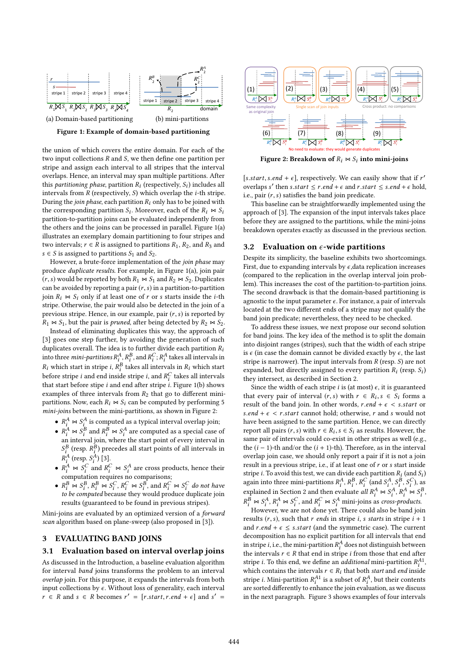

1 Figure 1: Example of domain-based partitioning

stripe and assign each interval to all stripes that the interval overlaps. Hence, an interval may span multiple partitions. After – *n* CPU cores à *k* = *n* partitions  $\frac{m}{2}$  in  $\frac{m}{2}$  and  $\frac{m}{2}$ two input collections R and S, we then define one partition per<br>
stripe and assign each interval to all stripes that the interval this *partitioning phase*, partition  $R_i$  (respectively,  $S_i$ ) includes all intervals from *P* (respectively, *S*) which overlap the *i*-th string the union of which covers the entire domain. For each of the intervals from  $R$  (respectively,  $S$ ) which overlap the *i*-th stripe. During the join phase, each partition  $R_i$  only has to be joined with the corresponding partition  $S_i$ . Moreover, each of the  $R_i \bowtie S_i$ <br>partition-to-partition ions can be evaluated independently from partition-to-partition joins can be evaluated independently from the others and the joins can be processed in parallel. Figure 1(a) illustrates an exemplary domain partitioning to four stripes and two intervals;  $r \in \overline{R}$  is assigned to partitions  $R_1, R_2$ , and  $R_3$  and  $s \in S$  is assigned to partitions  $S_1$  and  $S_2$ .

However, a brute-force implementation of the join phase may produce duplicate results. For example, in Figure 1(a), join pair  $(r, s)$  would be reported by both  $R_1 \bowtie S_1$  and  $R_2 \bowtie S_2$ . Duplicates can be avoided by reporting a pair  $(r, s)$  in a partition-to-partition join  $R_i \Join S_i$  only if at least one of r or s starts inside the *i*-th stripe. Otherwise, the pair would also be detected in the join of a previous stripe. Hence, in our example, pair  $(r, s)$  is reported by  $R_1 \Join S_1$ , but the pair is *pruned*, after being detected by  $R_2 \Join S_2$ .

Instead of eliminating duplicates this way, the approach of [3] goes one step further, by avoiding the generation of such duplicates overall. The idea is to further divide each partition  $R_i$ into three *mini-partitions*  $R_i^A$ ,  $R_i^B$ , and  $R_i^C$ ;  $R_i^A$  takes all intervals in  $R_i$ , which then  $R_i$  $R_i$  which start in stripe i,  $R_i^B$  takes all intervals in  $R_i$  which start<br>helper stripe i and and incidentaire is not  $P_i^C$  takes all intervals before stripe *i* and end inside stripe *i*, and  $R_i^C$  takes all intervals<br>that start before stipe *i* and end after stripe *i* Figure 1(b) shows that start before stipe *i* and end after stripe *i*. Figure 1(b) shows<br>examples of three intervals from  $P_2$  that go to different miniexamples of three intervals from  $R_2$  that go to different minipartitions. Now, each  $R_i \bowtie S_i$  can be computed by performing 5  $min\text{-}joins$  between the mini-partitions, as shown in Figure 2:

- $R_i^A \bowtie S_i^A$ <br>•  $R_A^A \bowtie S_B^B$ is computed as a typical interval overlap join;
- $R_i^A \bowtie S_i^B$  and  $R_i^B \bowtie S_i^A$ <br>an interval join, where are computed as a special case of an interval join, where the start point of every interval in  $R_i^A$  (resp.  $S_i^A$ ) [3].  $\frac{B}{B}$  (resp.  $R_i^B$ ) precedes all start points of all intervals in  $A$  (resp.  $S_A^A$ ) [2]
- $R_i^A$  (resp.  $S_i^A$ ) [3].<br>
  $R_i^A \bowtie S_i^C$  and  $R_i^C \bowtie S_i^A$ <br>
computation requires no are cross products, hence their computation requires no comparisons;
- $R_i^B \Join S_i^B, R_i^B \Join S_i^C, R_i^C \Join S_i^B$ , and  $R_i^C \Join S_i^C$  do not have to be computed because they would produce duplicate join to be computed because they would produce duplicate join results (guaranteed to be found in previous stripes).

Mini-joins are evaluated by an optimized version of a forward scan algorithm based on plane-sweep (also proposed in [3]).

# 3 EVALUATING BAND JOINS

#### 3.1 Evaluation based on interval overlap joins

As discussed in the Introduction, a baseline evaluation algorithm for interval band joins transforms the problem to an interval overlap join. For this purpose, it expands the intervals from both input collections by  $\epsilon$ . Without loss of generality, each interval  $r \in R$  and  $s \in R$  becomes  $r' = [r.start, r.end + \epsilon]$  and  $s' =$ 



Figure 2: Breakdown of  $R_i \bowtie S_i$  into mini-joins

[s.start, s.end +  $\epsilon$ ], respectively. We can easily show that if r' overlang s' then s start  $\epsilon$  r end +  $\epsilon$  and r start  $\epsilon$  s end +  $\epsilon$  hold overlaps s' then s.start  $\leq$  r.end +  $\epsilon$  and r.start  $\leq$  s.end +  $\epsilon$  hold, i.e., pair  $(r, s)$  satisfies the band join predicate.

This baseline can be straightforwardly implemented using the approach of [3]. The expansion of the input intervals takes place before they are assigned to the partitions, while the mini-joins breakdown operates exactly as discussed in the previous section.

#### 3.2 Evaluation on  $\epsilon$ -wide partitions

Despite its simplicity, the baseline exhibits two shortcomings. First, due to expanding intervals by  $\epsilon$ , data replication increases (compared to the replication in the overlap interval join problem). This increases the cost of the partition-to-partition joins. The second drawback is that the domain-based partitioning is agnostic to the input parameter  $\epsilon$ . For instance, a pair of intervals located at the two different ends of a stripe may not qualify the band join predicate; nevertheless, they need to be checked.

To address these issues, we next propose our second solution for band joins. The key idea of the method is to split the domain into disjoint ranges (stripes), such that the width of each stripe is  $\epsilon$  (in case the domain cannot be divided exactly by  $\epsilon$ , the last stripe is narrower). The input intervals from  $R$  (resp.  $S$ ) are not expanded, but directly assigned to every partition  $R_i$  (resp.  $S_i$ ) they intersect as described in Section 2 they intersect, as described in Section 2.

Since the width of each stripe *i* is (at most)  $\epsilon$ , it is guaranteed that every pair of interval  $(r, s)$  with  $r \in R_i$ ,  $s \in S_i$  forms a<br>result of the band join. In other words, r end +  $s \leq s$  start or result of the band join. In other words,  $r.end + \epsilon < s.start$  or s.end +  $\epsilon$  < r.start cannot hold; otherwise, r and s would not have been assigned to the same partition. Hence, we can directly report all pairs  $(r, s)$  with  $r \in R_i$ ,  $s \in S_i$  as results. However, the same pair of intervals could co-exist in other stripes as well (e.g. same pair of intervals could co-exist in other stripes as well (e.g., the  $(i - 1)$ -th and/or the  $(i + 1)$ -th). Therefore, as in the interval overlap join case, we should only report a pair if it is not a join result in a previous stripe, i.e., if at least one of r or s start inside stripe *i*. To avoid this test, we can divide each partition  $R_i$  (and  $S_i$ )<br>again into three mini-partitions  $R_A B_B C$  (and  $S_A S_B C$ ) as again into three mini-partitions  $R_i^A$ ,  $R_i^B$ ,  $R_i^C$  (and  $S_i^A$ ,  $S_i^B$ ,  $S_i^C$ ), as explained in Section 2 and then evaluate all  $R_A^A \bowtie S_i^A$ ,  $R_A^A \bowtie S_i^B$ <br> $R_B^B \bowtie S_A^A$   $R_A^A \bowtie S_A^C$  and  $R_A^C \bowtie S_A^A$  mini-joing as cross-products ,  $R_i^B \bowtie S_i^A$ ,  $R_i^A \bowtie S_i^C$ , and  $R_i^C \bowtie S_i^A$  mini-joins as *cross-products*.<br>However, we are not done yet. There could also be band ion

However, we are not done yet. There could also be band join results  $(r, s)$ , such that r ends in stripe i, s starts in stripe  $i + 1$ and  $r.end + \epsilon \leq s.start$  (and the symmetric case). The current decomposition has no explicit partition for all intervals that end in stripe *i*, i.e., the mini-partition  $R_i^A$  does not distinguish between<br>the intervals  $r \in R$  that end in stripe *i* from those that end after the intervals  $r \in R$  that end in stripe *i* from those that end after<br>tripe *i*. To this end, we define an *additional* mini-partition  $R^{A_1}$ stripe *i*. To this end, we define an *additional* mini-partition  $R_i^{A1}$ ,<br>which contains the intervals  $r \in R$ , that both *start* and *end* inside which contains the intervals  $r \in R_i$  that both *start* and *end* inside<br>string *i*. Mini-partition  $R^{A_1}$  is a subset of  $R^A$ , but their contents stripe *i*. Mini-partition  $R_1^{A1}$  is a subset of  $R_1^A$ , but their contents<br>are sorted differently to enhance the join evaluation, as we discusse are sorted differently to enhance the join evaluation, as we discuss in the next paragraph. Figure 3 shows examples of four intervals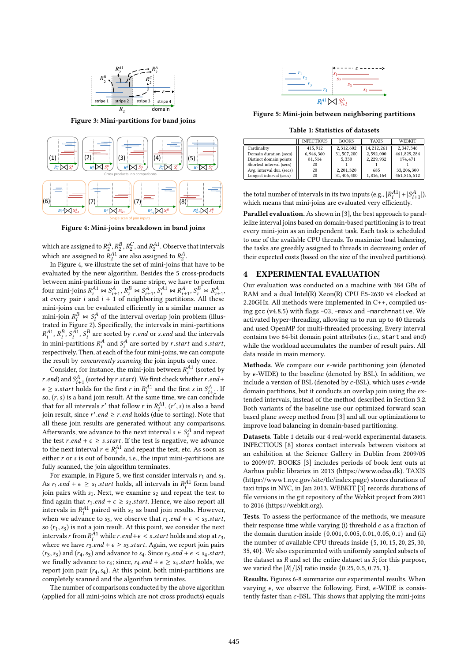

Figure 3: Mini-partitions for band joins



Figure 4: Mini-joins breakdown in band joins

which are assigned to  $R_2^A$ ,  $R_2^B$ ,  $R_\zeta^C$ , and  $R_2^{A1}$ . Observe that intervals which are assigned to  $R_2^{A_1}$  are also assigned to  $R_2^{A_2}$ .<br>In Figure 4, we illustrate the set of mini-joins the

In Figure 4, we illustrate the set of mini-joins that have to be evaluated by the new algorithm. Besides the 5 cross-products between mini-partitions in the same stripe, we have to perform four mini-joins  $R_1^{A1} \bowtie S_{i+1}^A$ ,  $R_i^B \bowtie S_{i+1}^A$ ,  $S_1^A \bowtie R_{i+1}^A$ ,  $S_i^B \bowtie R_{i+1}^A$ ,<br>at every pair *i* and *i* + 1 of neighboring partitions. All these at every pair *i* and  $i + 1$  of neighboring partitions. All these<br>mini-joins can be evaluated efficiently in a similar manner as mini-joins can be evaluated efficiently in a similar manner as mini-join  $R_i^B \bowtie S_i^A$ <br>trated in Figure 2). of the interval overlap join problem (illustrated in Figure 2). Specifically, the intervals in mini-partitions in mini-partitions  $R_1^A$  and  $S_1^A$  are sorted by *r*.start and *s*.start,<br>respectively. Then at each of the four mini-joins, we can compute  $A^1$ ,  $R^B$ ,  $S^A$ ,  $S^B$  are sorted by *r.end* or *s.end* and the intervals<br>i. mini positions  $R^A$  and  $S^A$  are sorted by *n* start and a start respectively. Then, at each of the four mini-joins, we can compute the result by concurrently scanning the join inputs only once.

Consider, for instance, the mini-join between  $R_i^{A1}$  (sorted by<br>and and  $S_A^A$  (control by untant). We find shock whatken u and t r.end) and  $S_{i+1}^A$  (sorted by r.start). We first check whether r.end+<br>c  $\geq$  2 s start halds fan the first n in  $P^{A_1}$  and the first s in  $S^A$ .  $\epsilon \geq s.start$  holds for the first r in  $R_i^{A1}$  and the first s in  $S_{i+1}^{A}$ . If  $\epsilon \geq$  s.start holds for the first  $\ell$  in  $\kappa_i$  and the first s in  $\upsilon_{i+1}$ . If<br>so,  $(r, s)$  is a band join result. At the same time, we can conclude<br>that for all intervals  $r'$  that follow r in  $R^{A_1}$  ( $r'$  s) is al that for all intervals r' that follow r in  $R_1^{A_1}$ ,  $(r', s)$  is also a band<br>ioin result since r' and  $\ge r$  and holds (due to sorting). Note that join result, since  $r'$  *end*  $\ge r$  *end* holds (due to sorting). Note that all these join results are generated without any comparisons all these join results are generated without any comparisons. Afterwards, we advance to the next interval  $s \in S_t^A$  and repeat<br>the test r and  $\pm \epsilon > s$  start. If the test is negative, we advance the test r.end +  $\epsilon \geq s.start$ . If the test is negative, we advance<br>to the next interval  $r \in P^{A1}$  and repeat the test etc. As soon as to the next interval  $r \in R_1^{A1}$  and repeat the test, etc. As soon as either r or s is out of bounds i.e., the input mini-partitions are either r or s is out of bounds, i.e., the input mini-partitions are<br>fully scanned, the join algorithm terminates fully scanned, the join algorithm terminates.

For example, in Figure 5, we first consider intervals  $r_1$  and  $s_1$ . As  $r_1$  end  $+ \epsilon \geq s_1$  start holds, all intervals in  $R_1^{A1}$  form band<br>ioin pairs with s. Next, we examine so and repeat the test to join pairs with  $s_1$ . Next, we examine  $s_2$  and repeat the test to find again that  $r_1$  and  $\pm c \geq s_2$  start. Hence, we also report all find again that  $r_1$ .end +  $\epsilon \geq s_2.start$ . Hence, we also report all intervals in  $R_1^{A1}$  paired with  $s_2$  as band join results. However, when we advance to  $s_2$ , we observe that  $r_1$ , and  $\pm \epsilon \leq s_2$  start. when we advance to  $s_3$ , we observe that  $r_1$  end  $+ \epsilon < s_3$  start,<br>so  $(r, \epsilon_2)$  is not a join result. At this point, we consider the next so  $(r_1, s_3)$  is not a join result. At this point, we consider the next intervals r from  $R_i^{A1}$  while r.end+ $\epsilon < s$ .start holds and stop at r<sub>3</sub>, where we have r<sub>3</sub> end +  $\epsilon > s_3$ .start. Again, we report join pairs where we have  $r_3$  end +  $\epsilon \geq s_3$  start. Again, we report join pairs  $(r_3, s_3)$  and  $(r_4, s_3)$  and advance to  $s_4$ . Since  $r_3$  end  $+\epsilon < s_4$  start, we finally advance to  $r_4$ ; since,  $r_4$  end  $+ \epsilon \geq s_4$  start holds, we report join pair  $(r_4, s_4)$ . At this point, both mini-partitions are completely scanned and the algorithm terminates.

The number of comparisons conducted by the above algorithm (applied for all mini-joins which are not cross products) equals



Figure 5: Mini-join between neighboring partitions

Table 1: Statistics of datasets

|                           | <b>INFECTIOUS</b> | <b>BOOKS</b> | <b>TAXIS</b> | WEBKIT        |
|---------------------------|-------------------|--------------|--------------|---------------|
| Cardinality               | 415.912           | 2.312.602    | 14, 212, 261 | 2,347,346     |
| Domain duration (secs)    | 6,946,360         | 31, 507, 200 | 2,592,000    | 461, 829, 284 |
| Distinct domain points    | 81,514            | 5.330        | 2,229,932    | 174.471       |
| Shortest interval (secs)  | 20                |              |              |               |
| Avg. interval dur. (secs) | 20                | 2.201.320    | 685          | 33, 206, 300  |
| Longest interval (secs)   | 20                | 31,406,400   | 1,816,164    | 461, 815, 512 |

the total number of intervals in its two inputs (e.g.,  $|R_1^{A_1}| + |S_{i+1}^{A}|$ ), which means that mini-ioins are evaluated very efficiently. which means that mini-joins are evaluated very efficiently.

Parallel evaluation. As shown in [3], the best approach to parallelize interval joins based on domain-based partitioning is to treat every mini-join as an independent task. Each task is scheduled to one of the available CPU threads. To maximize load balancing, the tasks are greedily assigned to threads in decreasing order of their expected costs (based on the size of the involved partitions).

#### 4 EXPERIMENTAL EVALUATION

Our evaluation was conducted on a machine with 384 GBs of RAM and a dual Intel(R) Xeon(R) CPU E5-2630 v4 clocked at 2.20GHz. All methods were implemented in C++, compiled using gcc (v4.8.5) with flags -O3, -mavx and -march=native. We activated hyper-threading, allowing us to run up to 40 threads and used OpenMP for multi-threaded processing. Every interval contains two 64-bit domain point attributes (i.e., start and end) while the workload accumulates the number of result pairs. All data reside in main memory.

Methods. We compare our  $\epsilon$ -wide partitioning join (denoted by  $\epsilon$ -WIDE) to the baseline (denoted by BSL). In addition, we include a version of BSL (denoted by  $\epsilon$ -BSL), which uses  $\epsilon$ -wide domain partitions, but it conducts an overlap join using the extended intervals, instead of the method described in Section 3.2. Both variants of the baseline use our optimized forward scan based plane sweep method from [3] and all our optimizations to improve load balancing in domain-based partitioning.

Datasets. Table 1 details our 4 real-world experimental datasets. INFECTIOUS [8] stores contact intervals between visitors at an exhibition at the Science Gallery in Dublin from 2009/05 to 2009/07. BOOKS [3] includes periods of book lent outs at Aarhus public libraries in 2013 (https://www.odaa.dk). TAXIS (https://www1.nyc.gov/site/tlc/index.page) stores durations of taxi trips in NYC, in Jan 2013. WEBKIT [3] records durations of file versions in the git repository of the Webkit project from 2001 to 2016 (https://webkit.org).

Tests. To assess the performance of the methods, we measure their response time while varying (i) threshold  $\epsilon$  as a fraction of the domain duration inside {0.001, <sup>0</sup>.005, <sup>0</sup>.01, <sup>0</sup>.05, <sup>0</sup>.1} and (ii) the number of available CPU threads inside {5, <sup>10</sup>, <sup>15</sup>, <sup>20</sup>, <sup>25</sup>, <sup>30</sup>, <sup>35</sup>, <sup>40</sup>}. We also experimented with uniformly sampled subsets of the dataset as  $R$  and set the entire dataset as  $S$ ; for this purpose, we varied the  $|R|/|S|$  ratio inside  $\{0.25, 0.5, 0.75, 1\}.$ 

Results. Figures 6-8 summarize our experimental results. When varying  $\epsilon$ , we observe the following. First,  $\epsilon$ -WIDE is consistently faster than  $\epsilon$ -BSL. This shows that applying the mini-joins